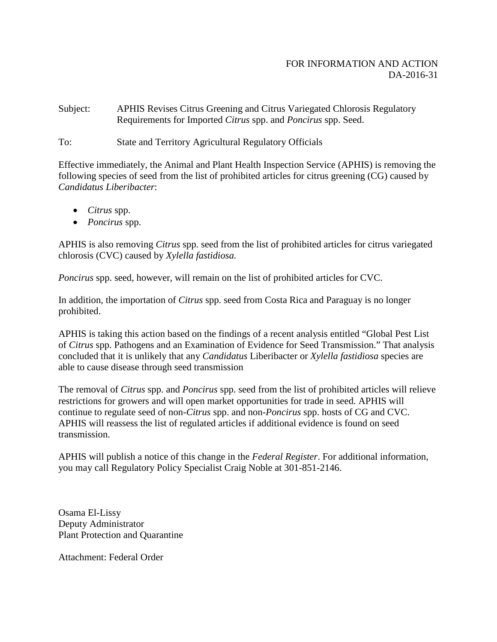## FOR INFORMATION AND ACTION DA-2016-31

Subject: APHIS Revises Citrus Greening and Citrus Variegated Chlorosis Regulatory Requirements for Imported *Citrus* spp. and *Poncirus* spp. Seed.

To: State and Territory Agricultural Regulatory Officials

Effective immediately, the Animal and Plant Health Inspection Service (APHIS) is removing the following species of seed from the list of prohibited articles for citrus greening (CG) caused by *Candidatus Liberibacter*:

- *Citrus* spp.
- *Poncirus* spp.

APHIS is also removing *Citrus* spp. seed from the list of prohibited articles for citrus variegated chlorosis (CVC) caused by *Xylella fastidiosa.*

*Poncirus* spp. seed, however, will remain on the list of prohibited articles for CVC.

In addition, the importation of *Citrus* spp. seed from Costa Rica and Paraguay is no longer prohibited.

APHIS is taking this action based on the findings of a recent analysis entitled "Global Pest List of *Citrus* spp. Pathogens and an Examination of Evidence for Seed Transmission." That analysis concluded that it is unlikely that any *Candidatus* Liberibacter or *Xylella fastidiosa* species are able to cause disease through seed transmission

The removal of *Citrus* spp. and *Poncirus* spp. seed from the list of prohibited articles will relieve restrictions for growers and will open market opportunities for trade in seed. APHIS will continue to regulate seed of non-*Citrus* spp. and non-*Poncirus* spp. hosts of CG and CVC. APHIS will reassess the list of regulated articles if additional evidence is found on seed transmission.

APHIS will publish a notice of this change in the *Federal Register*. For additional information, you may call Regulatory Policy Specialist Craig Noble at 301-851-2146.

Osama El-Lissy Deputy Administrator Plant Protection and Quarantine

Attachment: Federal Order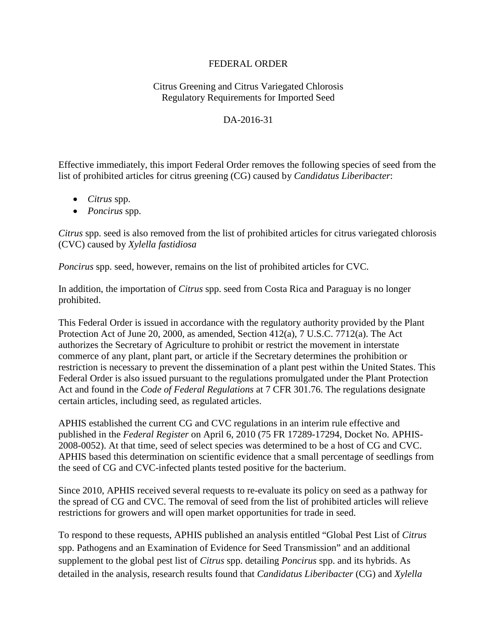## FEDERAL ORDER

## Citrus Greening and Citrus Variegated Chlorosis Regulatory Requirements for Imported Seed

## DA-2016-31

Effective immediately, this import Federal Order removes the following species of seed from the list of prohibited articles for citrus greening (CG) caused by *Candidatus Liberibacter*:

- *Citrus* spp.
- *Poncirus* spp.

*Citrus* spp. seed is also removed from the list of prohibited articles for citrus variegated chlorosis (CVC) caused by *Xylella fastidiosa*

*Poncirus* spp. seed, however, remains on the list of prohibited articles for CVC.

In addition, the importation of *Citrus* spp. seed from Costa Rica and Paraguay is no longer prohibited.

This Federal Order is issued in accordance with the regulatory authority provided by the Plant Protection Act of June 20, 2000, as amended, Section 412(a), 7 U.S.C. 7712(a). The Act authorizes the Secretary of Agriculture to prohibit or restrict the movement in interstate commerce of any plant, plant part, or article if the Secretary determines the prohibition or restriction is necessary to prevent the dissemination of a plant pest within the United States. This Federal Order is also issued pursuant to the regulations promulgated under the Plant Protection Act and found in the *Code of Federal Regulations* at 7 CFR 301.76. The regulations designate certain articles, including seed, as regulated articles.

APHIS established the current CG and CVC regulations in an interim rule effective and published in the *Federal Register* on April 6, 2010 (75 FR 17289-17294, Docket No. APHIS-2008-0052). At that time, seed of select species was determined to be a host of CG and CVC. APHIS based this determination on scientific evidence that a small percentage of seedlings from the seed of CG and CVC-infected plants tested positive for the bacterium.

Since 2010, APHIS received several requests to re-evaluate its policy on seed as a pathway for the spread of CG and CVC. The removal of seed from the list of prohibited articles will relieve restrictions for growers and will open market opportunities for trade in seed.

To respond to these requests, APHIS published an analysis entitled "Global Pest List of *Citrus* spp. Pathogens and an Examination of Evidence for Seed Transmission" and an additional supplement to the global pest list of *Citrus* spp. detailing *Poncirus* spp. and its hybrids. As detailed in the analysis, research results found that *Candidatus Liberibacter* (CG) and *Xylella*